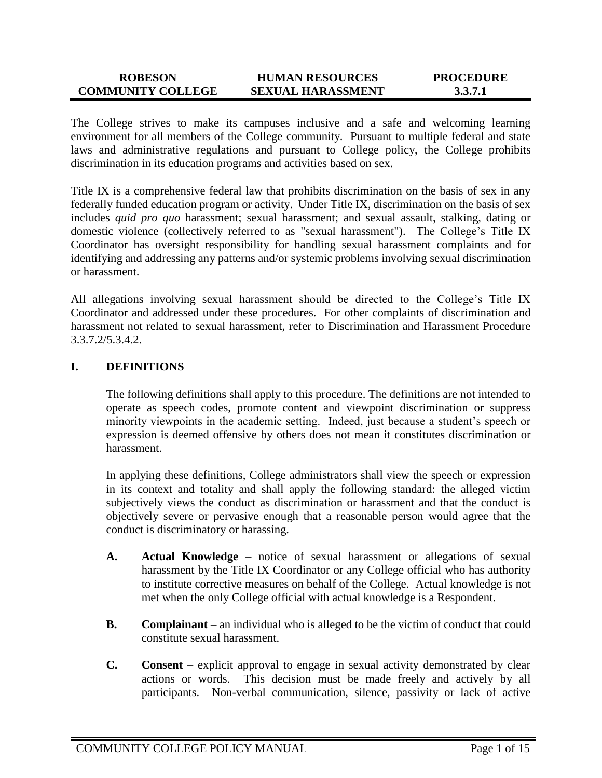#### **ROBESON COMMUNITY COLLEGE HUMAN RESOURCES SEXUAL HARASSMENT PROCEDURE 3.3.7.1**

The College strives to make its campuses inclusive and a safe and welcoming learning environment for all members of the College community. Pursuant to multiple federal and state laws and administrative regulations and pursuant to College policy, the College prohibits discrimination in its education programs and activities based on sex.

Title IX is a comprehensive federal law that prohibits discrimination on the basis of sex in any federally funded education program or activity. Under Title IX, discrimination on the basis of sex includes *quid pro quo* harassment; sexual harassment; and sexual assault, stalking, dating or domestic violence (collectively referred to as "sexual harassment"). The College's Title IX Coordinator has oversight responsibility for handling sexual harassment complaints and for identifying and addressing any patterns and/or systemic problems involving sexual discrimination or harassment.

All allegations involving sexual harassment should be directed to the College's Title IX Coordinator and addressed under these procedures. For other complaints of discrimination and harassment not related to sexual harassment, refer to Discrimination and Harassment Procedure 3.3.7.2/5.3.4.2.

## **I. DEFINITIONS**

The following definitions shall apply to this procedure. The definitions are not intended to operate as speech codes, promote content and viewpoint discrimination or suppress minority viewpoints in the academic setting. Indeed, just because a student's speech or expression is deemed offensive by others does not mean it constitutes discrimination or harassment.

In applying these definitions, College administrators shall view the speech or expression in its context and totality and shall apply the following standard: the alleged victim subjectively views the conduct as discrimination or harassment and that the conduct is objectively severe or pervasive enough that a reasonable person would agree that the conduct is discriminatory or harassing.

- **A. Actual Knowledge** notice of sexual harassment or allegations of sexual harassment by the Title IX Coordinator or any College official who has authority to institute corrective measures on behalf of the College. Actual knowledge is not met when the only College official with actual knowledge is a Respondent.
- **B. Complainant** an individual who is alleged to be the victim of conduct that could constitute sexual harassment.
- **C. Consent** explicit approval to engage in sexual activity demonstrated by clear actions or words. This decision must be made freely and actively by all participants. Non-verbal communication, silence, passivity or lack of active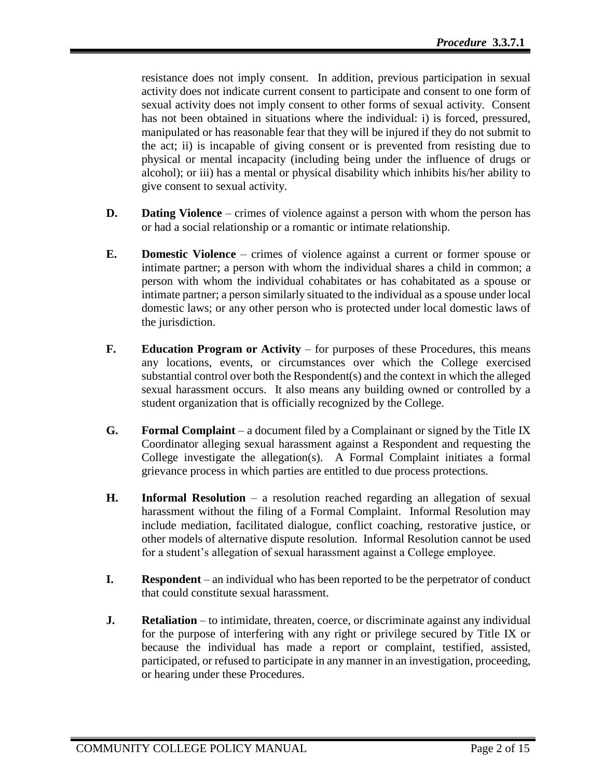resistance does not imply consent. In addition, previous participation in sexual activity does not indicate current consent to participate and consent to one form of sexual activity does not imply consent to other forms of sexual activity. Consent has not been obtained in situations where the individual: i) is forced, pressured, manipulated or has reasonable fear that they will be injured if they do not submit to the act; ii) is incapable of giving consent or is prevented from resisting due to physical or mental incapacity (including being under the influence of drugs or alcohol); or iii) has a mental or physical disability which inhibits his/her ability to give consent to sexual activity.

- **D. Dating Violence** crimes of violence against a person with whom the person has or had a social relationship or a romantic or intimate relationship.
- **E. Domestic Violence** crimes of violence against a current or former spouse or intimate partner; a person with whom the individual shares a child in common; a person with whom the individual cohabitates or has cohabitated as a spouse or intimate partner; a person similarly situated to the individual as a spouse under local domestic laws; or any other person who is protected under local domestic laws of the jurisdiction.
- **F. Education Program or Activity** for purposes of these Procedures, this means any locations, events, or circumstances over which the College exercised substantial control over both the Respondent(s) and the context in which the alleged sexual harassment occurs. It also means any building owned or controlled by a student organization that is officially recognized by the College.
- **G. Formal Complaint** a document filed by a Complainant or signed by the Title IX Coordinator alleging sexual harassment against a Respondent and requesting the College investigate the allegation(s). A Formal Complaint initiates a formal grievance process in which parties are entitled to due process protections.
- **H. Informal Resolution**  a resolution reached regarding an allegation of sexual harassment without the filing of a Formal Complaint. Informal Resolution may include mediation, facilitated dialogue, conflict coaching, restorative justice, or other models of alternative dispute resolution. Informal Resolution cannot be used for a student's allegation of sexual harassment against a College employee.
- **I. Respondent** an individual who has been reported to be the perpetrator of conduct that could constitute sexual harassment.
- **J. Retaliation** to intimidate, threaten, coerce, or discriminate against any individual for the purpose of interfering with any right or privilege secured by Title IX or because the individual has made a report or complaint, testified, assisted, participated, or refused to participate in any manner in an investigation, proceeding, or hearing under these Procedures.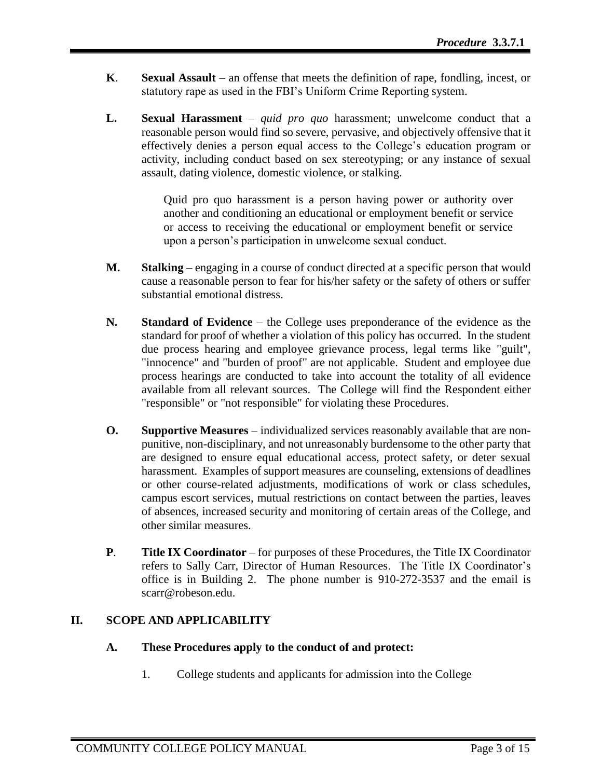- **K**. **Sexual Assault** an offense that meets the definition of rape, fondling, incest, or statutory rape as used in the FBI's Uniform Crime Reporting system.
- **L. Sexual Harassment** *quid pro quo* harassment; unwelcome conduct that a reasonable person would find so severe, pervasive, and objectively offensive that it effectively denies a person equal access to the College's education program or activity, including conduct based on sex stereotyping; or any instance of sexual assault, dating violence, domestic violence, or stalking.

Quid pro quo harassment is a person having power or authority over another and conditioning an educational or employment benefit or service or access to receiving the educational or employment benefit or service upon a person's participation in unwelcome sexual conduct.

- **M. Stalking** engaging in a course of conduct directed at a specific person that would cause a reasonable person to fear for his/her safety or the safety of others or suffer substantial emotional distress.
- **N. Standard of Evidence**  the College uses preponderance of the evidence as the standard for proof of whether a violation of this policy has occurred. In the student due process hearing and employee grievance process, legal terms like "guilt", "innocence" and "burden of proof" are not applicable. Student and employee due process hearings are conducted to take into account the totality of all evidence available from all relevant sources. The College will find the Respondent either "responsible" or "not responsible" for violating these Procedures.
- **O.** Supportive Measures individualized services reasonably available that are nonpunitive, non-disciplinary, and not unreasonably burdensome to the other party that are designed to ensure equal educational access, protect safety, or deter sexual harassment. Examples of support measures are counseling, extensions of deadlines or other course-related adjustments, modifications of work or class schedules, campus escort services, mutual restrictions on contact between the parties, leaves of absences, increased security and monitoring of certain areas of the College, and other similar measures.
- **P**. **Title IX Coordinator** for purposes of these Procedures, the Title IX Coordinator refers to Sally Carr, Director of Human Resources. The Title IX Coordinator's office is in Building 2. The phone number is 910-272-3537 and the email is scarr@robeson.edu.

# **II. SCOPE AND APPLICABILITY**

# **A. These Procedures apply to the conduct of and protect:**

1. College students and applicants for admission into the College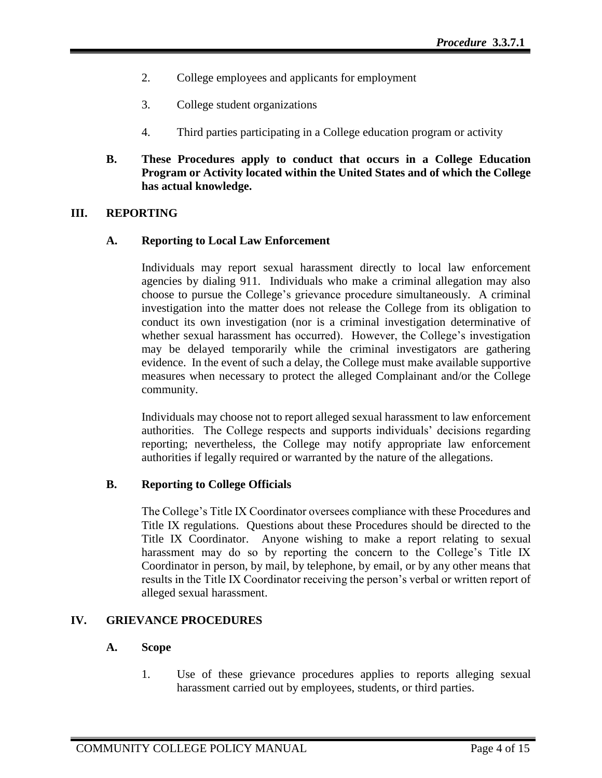- 2. College employees and applicants for employment
- 3. College student organizations
- 4. Third parties participating in a College education program or activity
- **B. These Procedures apply to conduct that occurs in a College Education Program or Activity located within the United States and of which the College has actual knowledge.**

## **III. REPORTING**

## **A. Reporting to Local Law Enforcement**

Individuals may report sexual harassment directly to local law enforcement agencies by dialing 911. Individuals who make a criminal allegation may also choose to pursue the College's grievance procedure simultaneously. A criminal investigation into the matter does not release the College from its obligation to conduct its own investigation (nor is a criminal investigation determinative of whether sexual harassment has occurred). However, the College's investigation may be delayed temporarily while the criminal investigators are gathering evidence. In the event of such a delay, the College must make available supportive measures when necessary to protect the alleged Complainant and/or the College community.

Individuals may choose not to report alleged sexual harassment to law enforcement authorities. The College respects and supports individuals' decisions regarding reporting; nevertheless, the College may notify appropriate law enforcement authorities if legally required or warranted by the nature of the allegations.

## **B. Reporting to College Officials**

The College's Title IX Coordinator oversees compliance with these Procedures and Title IX regulations. Questions about these Procedures should be directed to the Title IX Coordinator. Anyone wishing to make a report relating to sexual harassment may do so by reporting the concern to the College's Title IX Coordinator in person, by mail, by telephone, by email, or by any other means that results in the Title IX Coordinator receiving the person's verbal or written report of alleged sexual harassment.

## **IV. GRIEVANCE PROCEDURES**

## **A. Scope**

1. Use of these grievance procedures applies to reports alleging sexual harassment carried out by employees, students, or third parties.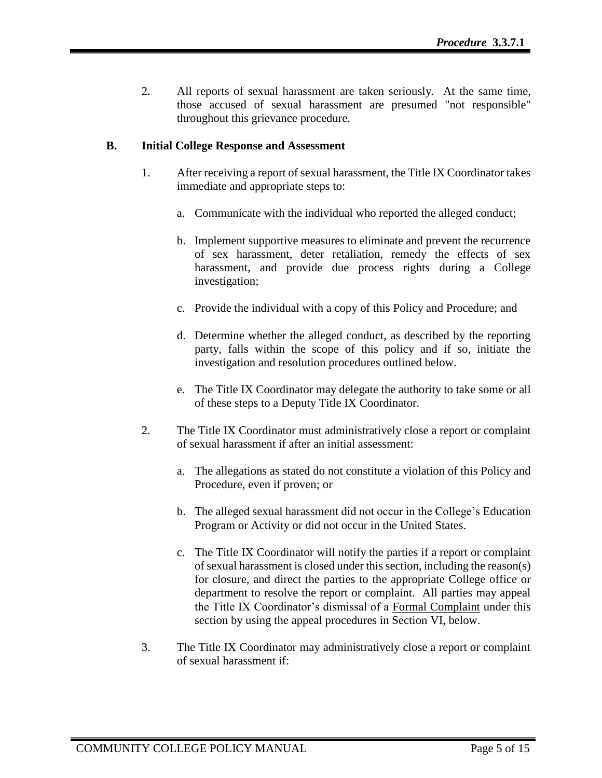2. All reports of sexual harassment are taken seriously. At the same time, those accused of sexual harassment are presumed "not responsible" throughout this grievance procedure.

# **B. Initial College Response and Assessment**

- 1. After receiving a report of sexual harassment, the Title IX Coordinator takes immediate and appropriate steps to:
	- a. Communicate with the individual who reported the alleged conduct;
	- b. Implement supportive measures to eliminate and prevent the recurrence of sex harassment, deter retaliation, remedy the effects of sex harassment, and provide due process rights during a College investigation;
	- c. Provide the individual with a copy of this Policy and Procedure; and
	- d. Determine whether the alleged conduct, as described by the reporting party, falls within the scope of this policy and if so, initiate the investigation and resolution procedures outlined below.
	- e. The Title IX Coordinator may delegate the authority to take some or all of these steps to a Deputy Title IX Coordinator.
- 2. The Title IX Coordinator must administratively close a report or complaint of sexual harassment if after an initial assessment:
	- a. The allegations as stated do not constitute a violation of this Policy and Procedure, even if proven; or
	- b. The alleged sexual harassment did not occur in the College's Education Program or Activity or did not occur in the United States.
	- c. The Title IX Coordinator will notify the parties if a report or complaint of sexual harassment is closed under this section, including the reason(s) for closure, and direct the parties to the appropriate College office or department to resolve the report or complaint. All parties may appeal the Title IX Coordinator's dismissal of a Formal Complaint under this section by using the appeal procedures in Section VI, below.
- 3. The Title IX Coordinator may administratively close a report or complaint of sexual harassment if: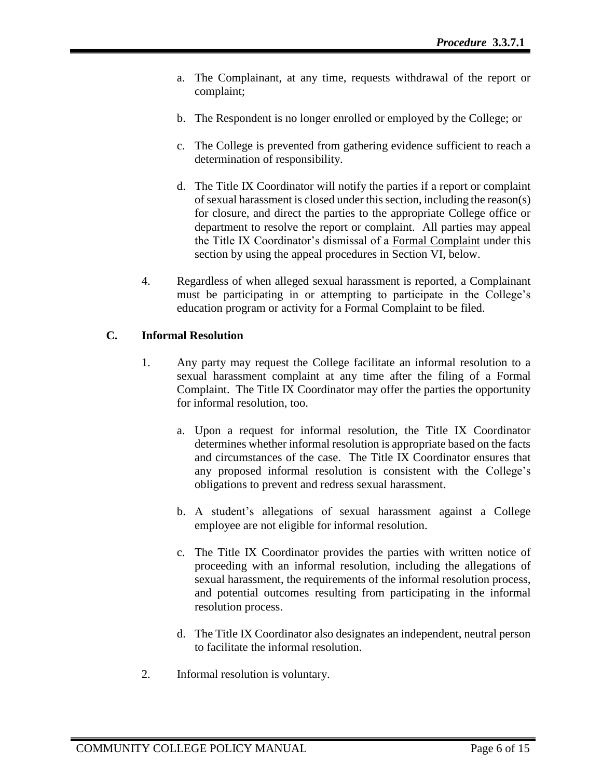- a. The Complainant, at any time, requests withdrawal of the report or complaint;
- b. The Respondent is no longer enrolled or employed by the College; or
- c. The College is prevented from gathering evidence sufficient to reach a determination of responsibility.
- d. The Title IX Coordinator will notify the parties if a report or complaint of sexual harassment is closed under this section, including the reason(s) for closure, and direct the parties to the appropriate College office or department to resolve the report or complaint. All parties may appeal the Title IX Coordinator's dismissal of a Formal Complaint under this section by using the appeal procedures in Section VI, below.
- 4. Regardless of when alleged sexual harassment is reported, a Complainant must be participating in or attempting to participate in the College's education program or activity for a Formal Complaint to be filed.

# **C. Informal Resolution**

- 1. Any party may request the College facilitate an informal resolution to a sexual harassment complaint at any time after the filing of a Formal Complaint. The Title IX Coordinator may offer the parties the opportunity for informal resolution, too.
	- a. Upon a request for informal resolution, the Title IX Coordinator determines whether informal resolution is appropriate based on the facts and circumstances of the case. The Title IX Coordinator ensures that any proposed informal resolution is consistent with the College's obligations to prevent and redress sexual harassment.
	- b. A student's allegations of sexual harassment against a College employee are not eligible for informal resolution.
	- c. The Title IX Coordinator provides the parties with written notice of proceeding with an informal resolution, including the allegations of sexual harassment, the requirements of the informal resolution process, and potential outcomes resulting from participating in the informal resolution process.
	- d. The Title IX Coordinator also designates an independent, neutral person to facilitate the informal resolution.
- 2. Informal resolution is voluntary.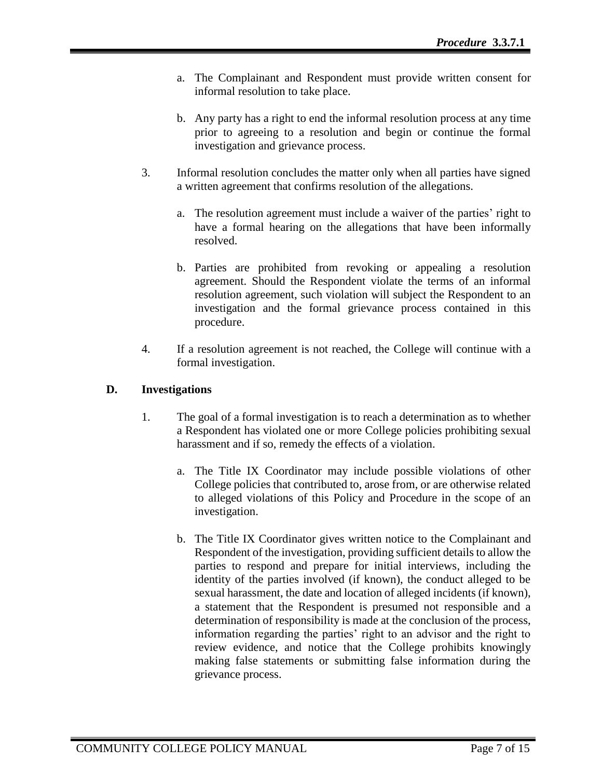- a. The Complainant and Respondent must provide written consent for informal resolution to take place.
- b. Any party has a right to end the informal resolution process at any time prior to agreeing to a resolution and begin or continue the formal investigation and grievance process.
- 3. Informal resolution concludes the matter only when all parties have signed a written agreement that confirms resolution of the allegations.
	- a. The resolution agreement must include a waiver of the parties' right to have a formal hearing on the allegations that have been informally resolved.
	- b. Parties are prohibited from revoking or appealing a resolution agreement. Should the Respondent violate the terms of an informal resolution agreement, such violation will subject the Respondent to an investigation and the formal grievance process contained in this procedure.
- 4. If a resolution agreement is not reached, the College will continue with a formal investigation.

# **D. Investigations**

- 1. The goal of a formal investigation is to reach a determination as to whether a Respondent has violated one or more College policies prohibiting sexual harassment and if so, remedy the effects of a violation.
	- a. The Title IX Coordinator may include possible violations of other College policies that contributed to, arose from, or are otherwise related to alleged violations of this Policy and Procedure in the scope of an investigation.
	- b. The Title IX Coordinator gives written notice to the Complainant and Respondent of the investigation, providing sufficient details to allow the parties to respond and prepare for initial interviews, including the identity of the parties involved (if known), the conduct alleged to be sexual harassment, the date and location of alleged incidents (if known), a statement that the Respondent is presumed not responsible and a determination of responsibility is made at the conclusion of the process, information regarding the parties' right to an advisor and the right to review evidence, and notice that the College prohibits knowingly making false statements or submitting false information during the grievance process.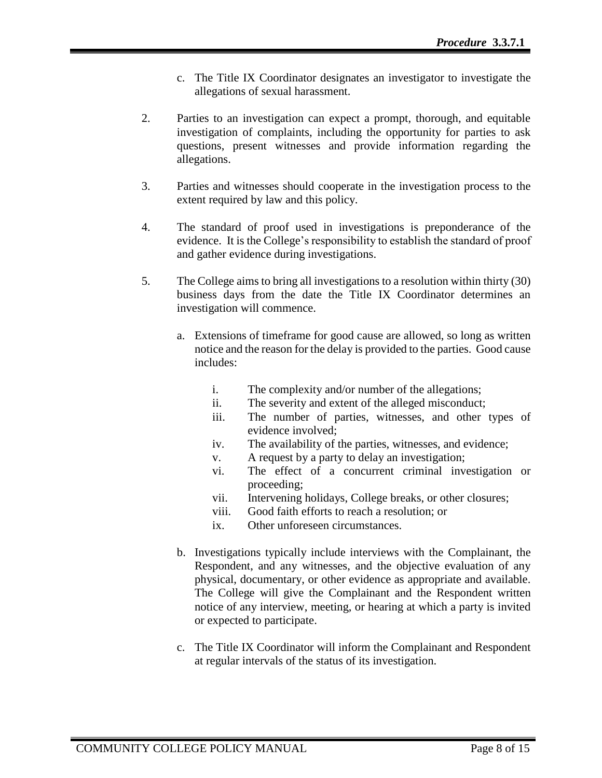- c. The Title IX Coordinator designates an investigator to investigate the allegations of sexual harassment.
- 2. Parties to an investigation can expect a prompt, thorough, and equitable investigation of complaints, including the opportunity for parties to ask questions, present witnesses and provide information regarding the allegations.
- 3. Parties and witnesses should cooperate in the investigation process to the extent required by law and this policy.
- 4. The standard of proof used in investigations is preponderance of the evidence. It is the College's responsibility to establish the standard of proof and gather evidence during investigations.
- 5. The College aims to bring all investigations to a resolution within thirty (30) business days from the date the Title IX Coordinator determines an investigation will commence.
	- a. Extensions of timeframe for good cause are allowed, so long as written notice and the reason for the delay is provided to the parties. Good cause includes:
		- i. The complexity and/or number of the allegations;
		- ii. The severity and extent of the alleged misconduct;
		- iii. The number of parties, witnesses, and other types of evidence involved;
		- iv. The availability of the parties, witnesses, and evidence;
		- v. A request by a party to delay an investigation;
		- vi. The effect of a concurrent criminal investigation or proceeding;
		- vii. Intervening holidays, College breaks, or other closures;
		- viii. Good faith efforts to reach a resolution; or
		- ix. Other unforeseen circumstances.
	- b. Investigations typically include interviews with the Complainant, the Respondent, and any witnesses, and the objective evaluation of any physical, documentary, or other evidence as appropriate and available. The College will give the Complainant and the Respondent written notice of any interview, meeting, or hearing at which a party is invited or expected to participate.
	- c. The Title IX Coordinator will inform the Complainant and Respondent at regular intervals of the status of its investigation.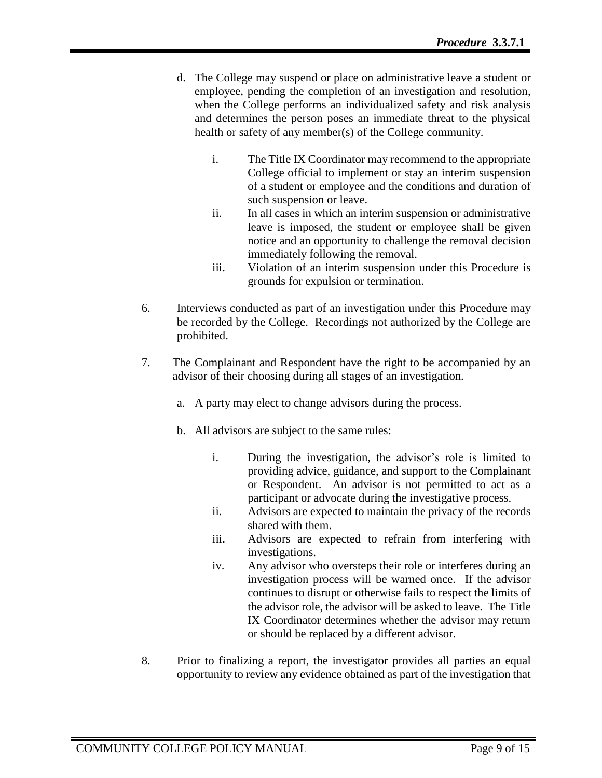- d. The College may suspend or place on administrative leave a student or employee, pending the completion of an investigation and resolution, when the College performs an individualized safety and risk analysis and determines the person poses an immediate threat to the physical health or safety of any member(s) of the College community.
	- i. The Title IX Coordinator may recommend to the appropriate College official to implement or stay an interim suspension of a student or employee and the conditions and duration of such suspension or leave.
	- ii. In all cases in which an interim suspension or administrative leave is imposed, the student or employee shall be given notice and an opportunity to challenge the removal decision immediately following the removal.
	- iii. Violation of an interim suspension under this Procedure is grounds for expulsion or termination.
- 6. Interviews conducted as part of an investigation under this Procedure may be recorded by the College. Recordings not authorized by the College are prohibited.
- 7. The Complainant and Respondent have the right to be accompanied by an advisor of their choosing during all stages of an investigation.
	- a. A party may elect to change advisors during the process.
	- b. All advisors are subject to the same rules:
		- i. During the investigation, the advisor's role is limited to providing advice, guidance, and support to the Complainant or Respondent. An advisor is not permitted to act as a participant or advocate during the investigative process.
		- ii. Advisors are expected to maintain the privacy of the records shared with them.
		- iii. Advisors are expected to refrain from interfering with investigations.
		- iv. Any advisor who oversteps their role or interferes during an investigation process will be warned once. If the advisor continues to disrupt or otherwise fails to respect the limits of the advisor role, the advisor will be asked to leave. The Title IX Coordinator determines whether the advisor may return or should be replaced by a different advisor.
- 8. Prior to finalizing a report, the investigator provides all parties an equal opportunity to review any evidence obtained as part of the investigation that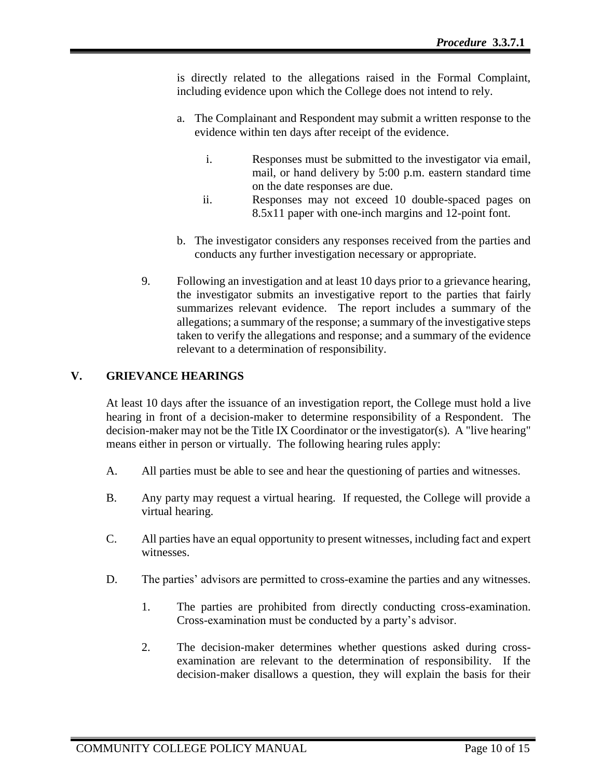is directly related to the allegations raised in the Formal Complaint, including evidence upon which the College does not intend to rely.

- a. The Complainant and Respondent may submit a written response to the evidence within ten days after receipt of the evidence.
	- i. Responses must be submitted to the investigator via email, mail, or hand delivery by 5:00 p.m. eastern standard time on the date responses are due.
	- ii. Responses may not exceed 10 double-spaced pages on 8.5x11 paper with one-inch margins and 12-point font.
- b. The investigator considers any responses received from the parties and conducts any further investigation necessary or appropriate.
- 9. Following an investigation and at least 10 days prior to a grievance hearing, the investigator submits an investigative report to the parties that fairly summarizes relevant evidence. The report includes a summary of the allegations; a summary of the response; a summary of the investigative steps taken to verify the allegations and response; and a summary of the evidence relevant to a determination of responsibility.

# **V. GRIEVANCE HEARINGS**

At least 10 days after the issuance of an investigation report, the College must hold a live hearing in front of a decision-maker to determine responsibility of a Respondent. The decision-maker may not be the Title IX Coordinator or the investigator(s). A "live hearing" means either in person or virtually. The following hearing rules apply:

- A. All parties must be able to see and hear the questioning of parties and witnesses.
- B. Any party may request a virtual hearing. If requested, the College will provide a virtual hearing.
- C. All parties have an equal opportunity to present witnesses, including fact and expert witnesses.
- D. The parties' advisors are permitted to cross-examine the parties and any witnesses.
	- 1. The parties are prohibited from directly conducting cross-examination. Cross-examination must be conducted by a party's advisor.
	- 2. The decision-maker determines whether questions asked during crossexamination are relevant to the determination of responsibility. If the decision-maker disallows a question, they will explain the basis for their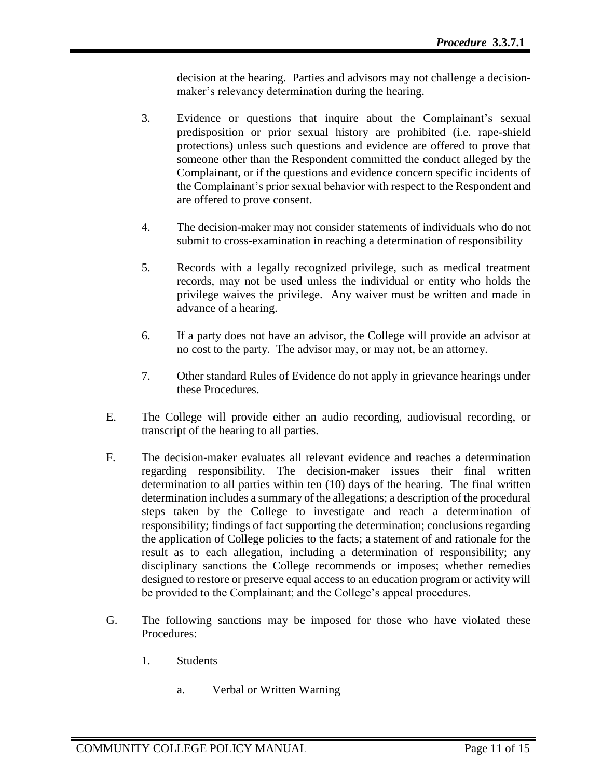decision at the hearing. Parties and advisors may not challenge a decisionmaker's relevancy determination during the hearing.

- 3. Evidence or questions that inquire about the Complainant's sexual predisposition or prior sexual history are prohibited (i.e. rape-shield protections) unless such questions and evidence are offered to prove that someone other than the Respondent committed the conduct alleged by the Complainant, or if the questions and evidence concern specific incidents of the Complainant's prior sexual behavior with respect to the Respondent and are offered to prove consent.
- 4. The decision-maker may not consider statements of individuals who do not submit to cross-examination in reaching a determination of responsibility
- 5. Records with a legally recognized privilege, such as medical treatment records, may not be used unless the individual or entity who holds the privilege waives the privilege. Any waiver must be written and made in advance of a hearing.
- 6. If a party does not have an advisor, the College will provide an advisor at no cost to the party. The advisor may, or may not, be an attorney.
- 7. Other standard Rules of Evidence do not apply in grievance hearings under these Procedures.
- E. The College will provide either an audio recording, audiovisual recording, or transcript of the hearing to all parties.
- F. The decision-maker evaluates all relevant evidence and reaches a determination regarding responsibility. The decision-maker issues their final written determination to all parties within ten (10) days of the hearing. The final written determination includes a summary of the allegations; a description of the procedural steps taken by the College to investigate and reach a determination of responsibility; findings of fact supporting the determination; conclusions regarding the application of College policies to the facts; a statement of and rationale for the result as to each allegation, including a determination of responsibility; any disciplinary sanctions the College recommends or imposes; whether remedies designed to restore or preserve equal access to an education program or activity will be provided to the Complainant; and the College's appeal procedures.
- G. The following sanctions may be imposed for those who have violated these Procedures:
	- 1. Students
		- a. Verbal or Written Warning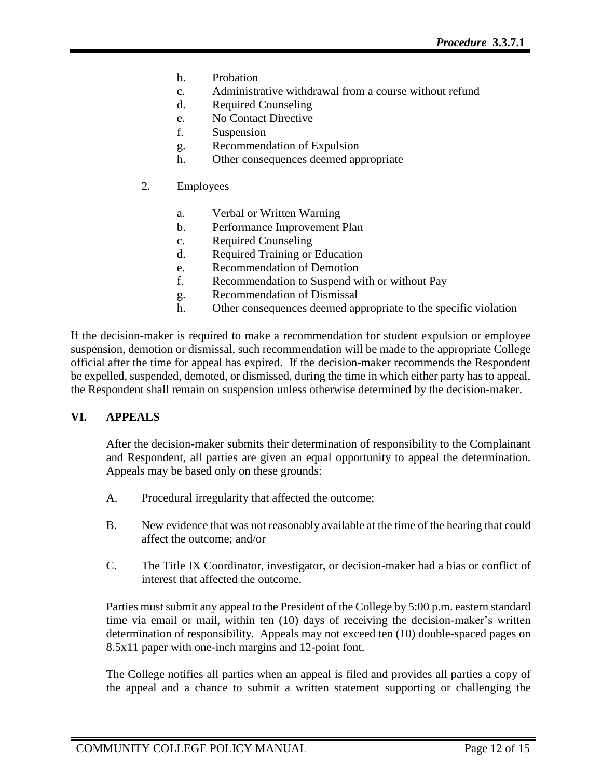- b. Probation
- c. Administrative withdrawal from a course without refund
- d. Required Counseling
- e. No Contact Directive
- f. Suspension
- g. Recommendation of Expulsion
- h. Other consequences deemed appropriate
- 2. Employees
	- a. Verbal or Written Warning
	- b. Performance Improvement Plan
	- c. Required Counseling
	- d. Required Training or Education
	- e. Recommendation of Demotion
	- f. Recommendation to Suspend with or without Pay
	- g. Recommendation of Dismissal
	- h. Other consequences deemed appropriate to the specific violation

If the decision-maker is required to make a recommendation for student expulsion or employee suspension, demotion or dismissal, such recommendation will be made to the appropriate College official after the time for appeal has expired. If the decision-maker recommends the Respondent be expelled, suspended, demoted, or dismissed, during the time in which either party has to appeal, the Respondent shall remain on suspension unless otherwise determined by the decision-maker.

# **VI. APPEALS**

After the decision-maker submits their determination of responsibility to the Complainant and Respondent, all parties are given an equal opportunity to appeal the determination. Appeals may be based only on these grounds:

- A. Procedural irregularity that affected the outcome;
- B. New evidence that was not reasonably available at the time of the hearing that could affect the outcome; and/or
- C. The Title IX Coordinator, investigator, or decision-maker had a bias or conflict of interest that affected the outcome.

Parties must submit any appeal to the President of the College by 5:00 p.m. eastern standard time via email or mail, within ten (10) days of receiving the decision-maker's written determination of responsibility. Appeals may not exceed ten (10) double-spaced pages on 8.5x11 paper with one-inch margins and 12-point font.

The College notifies all parties when an appeal is filed and provides all parties a copy of the appeal and a chance to submit a written statement supporting or challenging the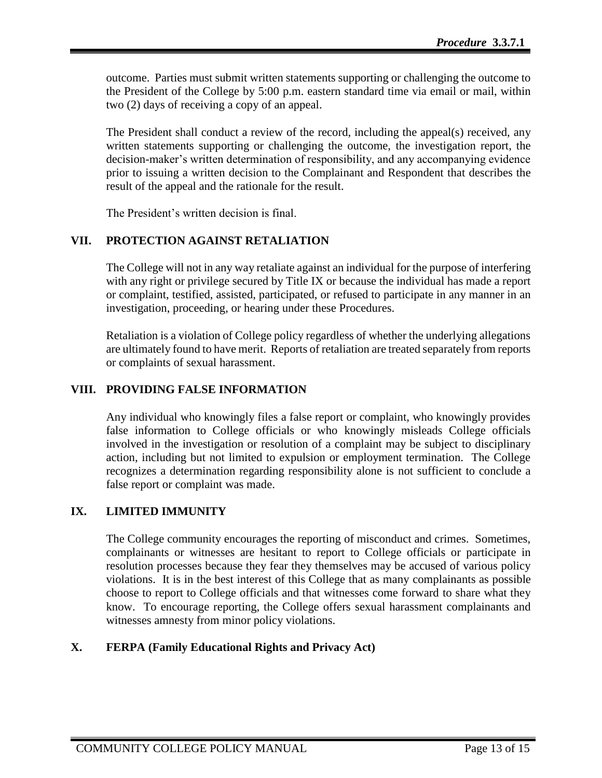outcome. Parties must submit written statements supporting or challenging the outcome to the President of the College by 5:00 p.m. eastern standard time via email or mail, within two (2) days of receiving a copy of an appeal.

The President shall conduct a review of the record, including the appeal(s) received, any written statements supporting or challenging the outcome, the investigation report, the decision-maker's written determination of responsibility, and any accompanying evidence prior to issuing a written decision to the Complainant and Respondent that describes the result of the appeal and the rationale for the result.

The President's written decision is final.

# **VII. PROTECTION AGAINST RETALIATION**

The College will not in any way retaliate against an individual for the purpose of interfering with any right or privilege secured by Title IX or because the individual has made a report or complaint, testified, assisted, participated, or refused to participate in any manner in an investigation, proceeding, or hearing under these Procedures.

Retaliation is a violation of College policy regardless of whether the underlying allegations are ultimately found to have merit. Reports of retaliation are treated separately from reports or complaints of sexual harassment.

# **VIII. PROVIDING FALSE INFORMATION**

Any individual who knowingly files a false report or complaint, who knowingly provides false information to College officials or who knowingly misleads College officials involved in the investigation or resolution of a complaint may be subject to disciplinary action, including but not limited to expulsion or employment termination. The College recognizes a determination regarding responsibility alone is not sufficient to conclude a false report or complaint was made.

# **IX. LIMITED IMMUNITY**

The College community encourages the reporting of misconduct and crimes. Sometimes, complainants or witnesses are hesitant to report to College officials or participate in resolution processes because they fear they themselves may be accused of various policy violations. It is in the best interest of this College that as many complainants as possible choose to report to College officials and that witnesses come forward to share what they know. To encourage reporting, the College offers sexual harassment complainants and witnesses amnesty from minor policy violations.

# **X. FERPA (Family Educational Rights and Privacy Act)**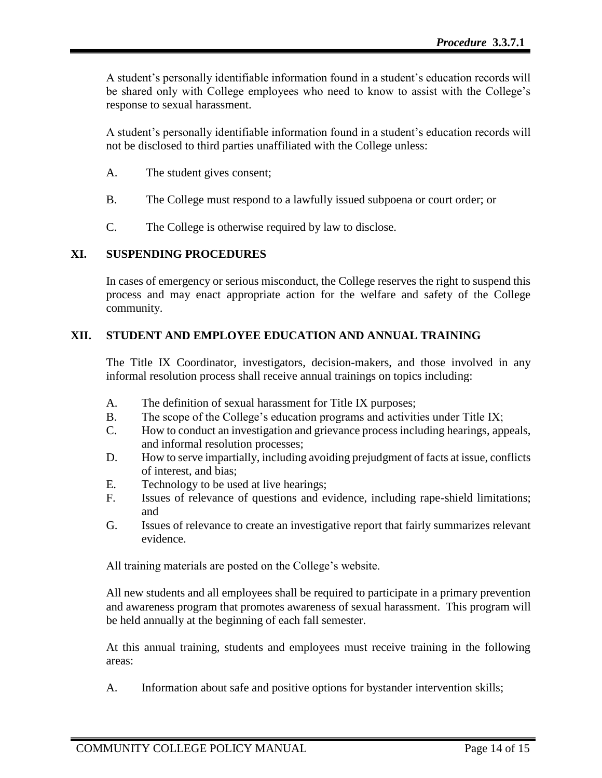A student's personally identifiable information found in a student's education records will be shared only with College employees who need to know to assist with the College's response to sexual harassment.

A student's personally identifiable information found in a student's education records will not be disclosed to third parties unaffiliated with the College unless:

- A. The student gives consent;
- B. The College must respond to a lawfully issued subpoena or court order; or
- C. The College is otherwise required by law to disclose.

# **XI. SUSPENDING PROCEDURES**

In cases of emergency or serious misconduct, the College reserves the right to suspend this process and may enact appropriate action for the welfare and safety of the College community.

# **XII. STUDENT AND EMPLOYEE EDUCATION AND ANNUAL TRAINING**

The Title IX Coordinator, investigators, decision-makers, and those involved in any informal resolution process shall receive annual trainings on topics including:

- A. The definition of sexual harassment for Title IX purposes;
- B. The scope of the College's education programs and activities under Title IX;
- C. How to conduct an investigation and grievance process including hearings, appeals, and informal resolution processes;
- D. How to serve impartially, including avoiding prejudgment of facts at issue, conflicts of interest, and bias;
- E. Technology to be used at live hearings;
- F. Issues of relevance of questions and evidence, including rape-shield limitations; and
- G. Issues of relevance to create an investigative report that fairly summarizes relevant evidence.

All training materials are posted on the College's website.

All new students and all employees shall be required to participate in a primary prevention and awareness program that promotes awareness of sexual harassment. This program will be held annually at the beginning of each fall semester.

At this annual training, students and employees must receive training in the following areas:

A. Information about safe and positive options for bystander intervention skills;